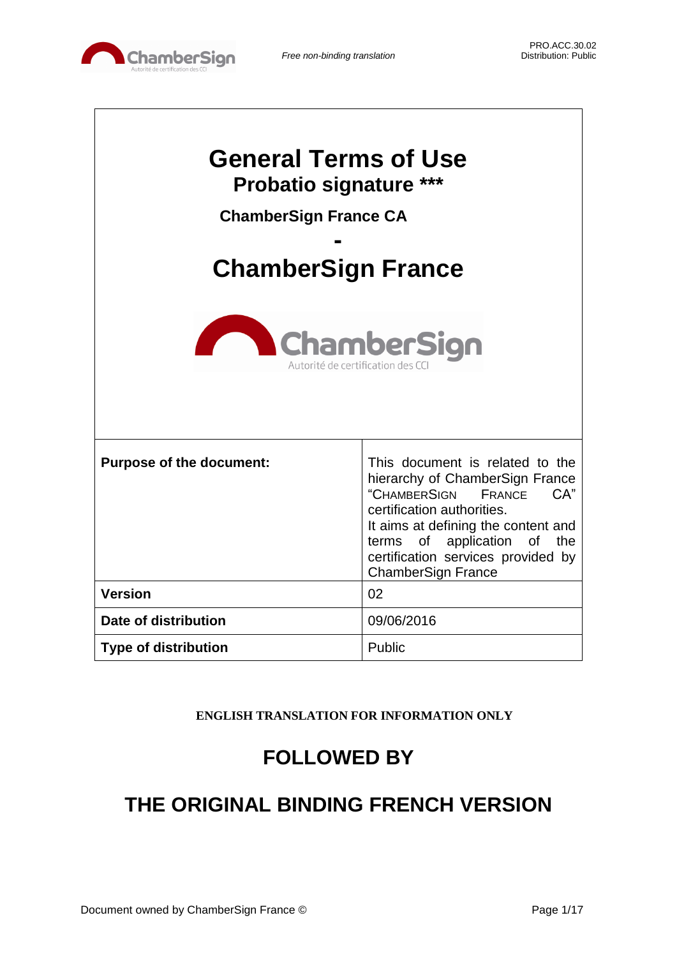

| <b>General Terms of Use</b><br><b>Probatio signature ***</b><br><b>ChamberSign France CA</b><br><b>ChamberSign France</b> |                                                                                                                                                                                                                                                                                      |  |  |
|---------------------------------------------------------------------------------------------------------------------------|--------------------------------------------------------------------------------------------------------------------------------------------------------------------------------------------------------------------------------------------------------------------------------------|--|--|
| <b>ChamberSign</b><br>Autorité de certification des CC                                                                    |                                                                                                                                                                                                                                                                                      |  |  |
| <b>Purpose of the document:</b>                                                                                           | This document is related to the<br>hierarchy of ChamberSign France<br>"CHAMBERSIGN<br>CA"<br><b>FRANCE</b><br>certification authorities.<br>It aims at defining the content and<br>terms of application of<br>the<br>certification services provided by<br><b>ChamberSign France</b> |  |  |
| <b>Version</b>                                                                                                            | 02                                                                                                                                                                                                                                                                                   |  |  |
| Date of distribution                                                                                                      | 09/06/2016                                                                                                                                                                                                                                                                           |  |  |
| <b>Type of distribution</b>                                                                                               | Public                                                                                                                                                                                                                                                                               |  |  |

**ENGLISH TRANSLATION FOR INFORMATION ONLY**

# **FOLLOWED BY**

# **THE ORIGINAL BINDING FRENCH VERSION**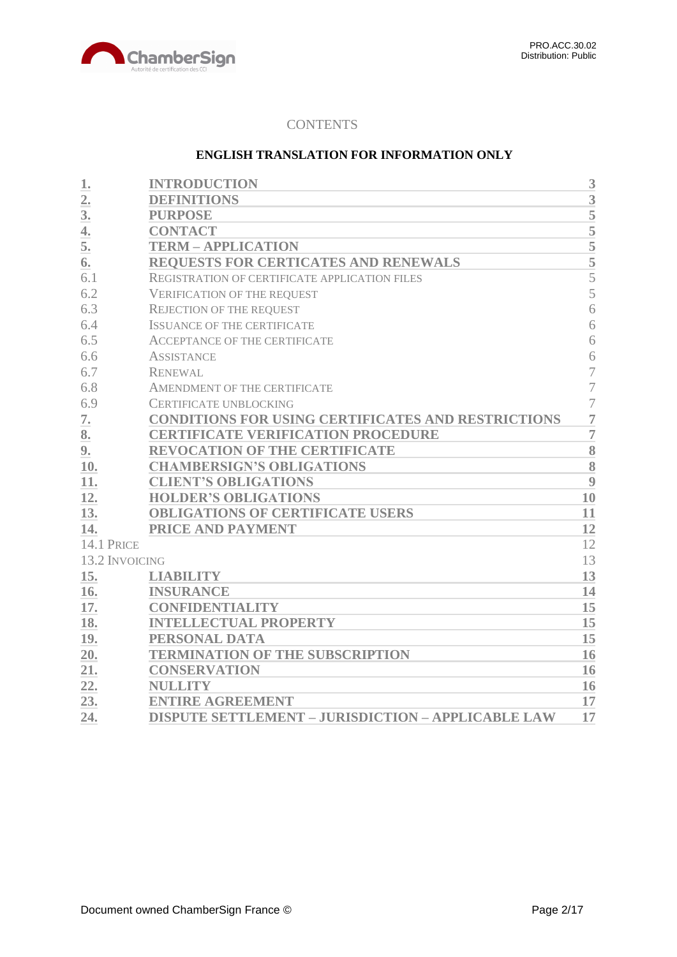

# **CONTENTS**

# **ENGLISH TRANSLATION FOR INFORMATION ONLY**

| 1.             | <b>INTRODUCTION</b>                                       | 3                  |
|----------------|-----------------------------------------------------------|--------------------|
| $\overline{2}$ | <b>DEFINITIONS</b>                                        | 3                  |
| 3.             | <b>PURPOSE</b>                                            | 5                  |
| 4.             | <b>CONTACT</b>                                            | $\overline{5}$     |
| 5.             | <b>TERM - APPLICATION</b>                                 | $\overline{5}$     |
| 6.             | <b>REQUESTS FOR CERTICATES AND RENEWALS</b>               | $rac{1}{5}$        |
| 6.1            | REGISTRATION OF CERTIFICATE APPLICATION FILES             | 5                  |
| 6.2            | <b>VERIFICATION OF THE REQUEST</b>                        | 5                  |
| 6.3            | <b>REJECTION OF THE REQUEST</b>                           | 6                  |
| 6.4            | <b>ISSUANCE OF THE CERTIFICATE</b>                        | 6                  |
| 6.5            | <b>ACCEPTANCE OF THE CERTIFICATE</b>                      | 6                  |
| 6.6            | <b>ASSISTANCE</b>                                         | 6                  |
| 6.7            | <b>RENEWAL</b>                                            | 7                  |
| 6.8            | AMENDMENT OF THE CERTIFICATE                              | $\overline{7}$     |
| 6.9            | <b>CERTIFICATE UNBLOCKING</b>                             | $\overline{7}$     |
| 7.             | <b>CONDITIONS FOR USING CERTIFICATES AND RESTRICTIONS</b> | $\overline{7}$     |
| 8.             | <b>CERTIFICATE VERIFICATION PROCEDURE</b>                 | $\overline{7}$     |
| 9.             | <b>REVOCATION OF THE CERTIFICATE</b>                      | $\overline{\bf 8}$ |
| 10.            | <b>CHAMBERSIGN'S OBLIGATIONS</b>                          | 8                  |
| 11.            | <b>CLIENT'S OBLIGATIONS</b>                               | 9                  |
| 12.            | <b>HOLDER'S OBLIGATIONS</b>                               | 10                 |
| 13.            | <b>OBLIGATIONS OF CERTIFICATE USERS</b>                   | 11                 |
| 14.            | PRICE AND PAYMENT                                         | 12                 |
| 14.1 PRICE     |                                                           | 12                 |
| 13.2 INVOICING |                                                           | 13                 |
| 15.            | <b>LIABILITY</b>                                          | 13                 |
| 16.            | <b>INSURANCE</b>                                          | 14                 |
| 17.            | <b>CONFIDENTIALITY</b>                                    | 15                 |
| 18.            | <b>INTELLECTUAL PROPERTY</b>                              | 15                 |
| 19.            | PERSONAL DATA                                             | 15                 |
| 20.            | <b>TERMINATION OF THE SUBSCRIPTION</b>                    | 16                 |
| 21.            | <b>CONSERVATION</b>                                       | 16                 |
| 22.            | <b>NULLITY</b>                                            | 16                 |
| 23.            | <b>ENTIRE AGREEMENT</b>                                   | 17                 |
| 24.            | <b>DISPUTE SETTLEMENT - JURISDICTION - APPLICABLE LAW</b> | 17                 |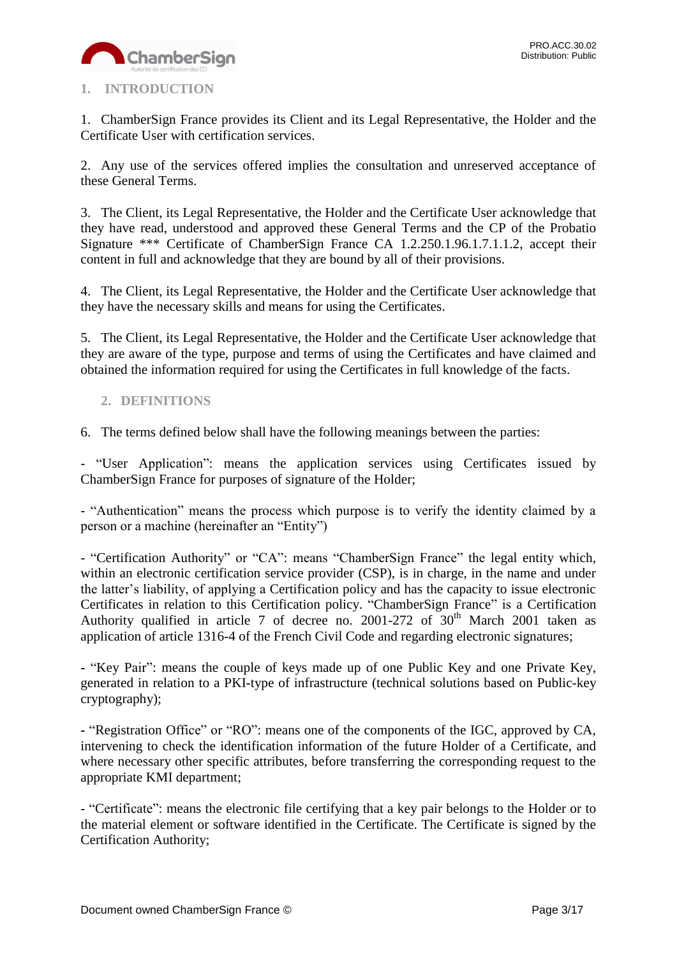

# <span id="page-2-0"></span>**1. INTRODUCTION**

1. ChamberSign France provides its Client and its Legal Representative, the Holder and the Certificate User with certification services.

2. Any use of the services offered implies the consultation and unreserved acceptance of these General Terms.

3. The Client, its Legal Representative, the Holder and the Certificate User acknowledge that they have read, understood and approved these General Terms and the CP of the Probatio Signature \*\*\* Certificate of ChamberSign France CA 1.2.250.1.96.1.7.1.1.2, accept their content in full and acknowledge that they are bound by all of their provisions.

4. The Client, its Legal Representative, the Holder and the Certificate User acknowledge that they have the necessary skills and means for using the Certificates.

5. The Client, its Legal Representative, the Holder and the Certificate User acknowledge that they are aware of the type, purpose and terms of using the Certificates and have claimed and obtained the information required for using the Certificates in full knowledge of the facts.

# <span id="page-2-1"></span>**2. DEFINITIONS**

6. The terms defined below shall have the following meanings between the parties:

- "User Application": means the application services using Certificates issued by ChamberSign France for purposes of signature of the Holder;

- "Authentication" means the process which purpose is to verify the identity claimed by a person or a machine (hereinafter an "Entity")

- "Certification Authority" or "CA": means "ChamberSign France" the legal entity which, within an electronic certification service provider (CSP), is in charge, in the name and under the latter's liability, of applying a Certification policy and has the capacity to issue electronic Certificates in relation to this Certification policy. "ChamberSign France" is a Certification Authority qualified in article 7 of decree no. 2001-272 of  $30<sup>th</sup>$  March 2001 taken as application of article 1316-4 of the French Civil Code and regarding electronic signatures;

**-** "Key Pair": means the couple of keys made up of one Public Key and one Private Key, generated in relation to a PKI-type of infrastructure (technical solutions based on Public-key cryptography);

**-** "Registration Office" or "RO": means one of the components of the IGC, approved by CA, intervening to check the identification information of the future Holder of a Certificate, and where necessary other specific attributes, before transferring the corresponding request to the appropriate KMI department;

- "Certificate": means the electronic file certifying that a key pair belongs to the Holder or to the material element or software identified in the Certificate. The Certificate is signed by the Certification Authority;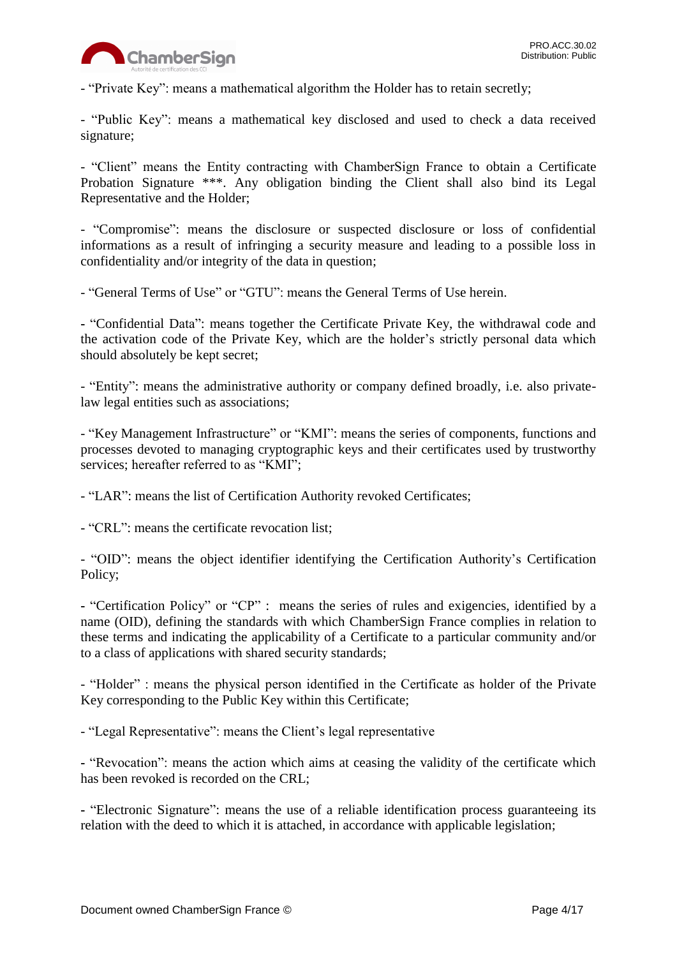

- "Private Key": means a mathematical algorithm the Holder has to retain secretly;

- "Public Key": means a mathematical key disclosed and used to check a data received signature;

- "Client" means the Entity contracting with ChamberSign France to obtain a Certificate Probation Signature \*\*\*. Any obligation binding the Client shall also bind its Legal Representative and the Holder;

- "Compromise": means the disclosure or suspected disclosure or loss of confidential informations as a result of infringing a security measure and leading to a possible loss in confidentiality and/or integrity of the data in question;

- "General Terms of Use" or "GTU": means the General Terms of Use herein.

**-** "Confidential Data": means together the Certificate Private Key, the withdrawal code and the activation code of the Private Key, which are the holder's strictly personal data which should absolutely be kept secret;

- "Entity": means the administrative authority or company defined broadly, i.e. also privatelaw legal entities such as associations;

- "Key Management Infrastructure" or "KMI": means the series of components, functions and processes devoted to managing cryptographic keys and their certificates used by trustworthy services; hereafter referred to as "KMI";

- "LAR": means the list of Certification Authority revoked Certificates;

- "CRL": means the certificate revocation list;

- "OID": means the object identifier identifying the Certification Authority's Certification Policy;

**-** "Certification Policy" or "CP" : means the series of rules and exigencies, identified by a name (OID), defining the standards with which ChamberSign France complies in relation to these terms and indicating the applicability of a Certificate to a particular community and/or to a class of applications with shared security standards;

- "Holder" : means the physical person identified in the Certificate as holder of the Private Key corresponding to the Public Key within this Certificate;

- "Legal Representative": means the Client's legal representative

**-** "Revocation": means the action which aims at ceasing the validity of the certificate which has been revoked is recorded on the CRL;

**-** "Electronic Signature": means the use of a reliable identification process guaranteeing its relation with the deed to which it is attached, in accordance with applicable legislation;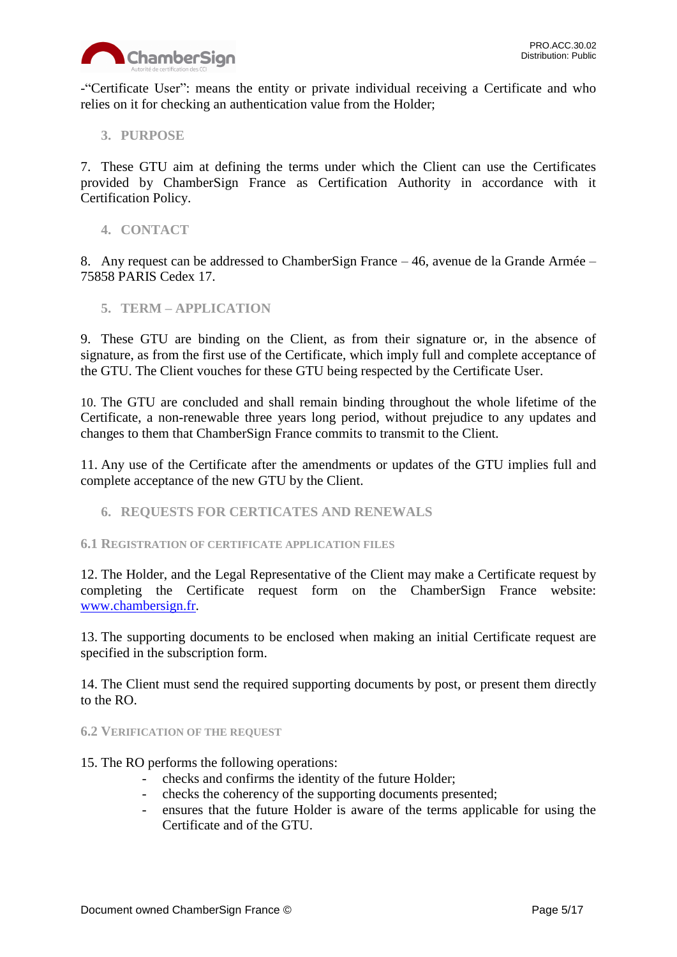

-"Certificate User": means the entity or private individual receiving a Certificate and who relies on it for checking an authentication value from the Holder;

<span id="page-4-0"></span>**3. PURPOSE**

7. These GTU aim at defining the terms under which the Client can use the Certificates provided by ChamberSign France as Certification Authority in accordance with it Certification Policy.

<span id="page-4-1"></span>**4. CONTACT**

8. Any request can be addressed to ChamberSign France – 46, avenue de la Grande Armée – 75858 PARIS Cedex 17.

<span id="page-4-2"></span>**5. TERM – APPLICATION**

9. These GTU are binding on the Client, as from their signature or, in the absence of signature, as from the first use of the Certificate, which imply full and complete acceptance of the GTU. The Client vouches for these GTU being respected by the Certificate User.

10. The GTU are concluded and shall remain binding throughout the whole lifetime of the Certificate, a non-renewable three years long period, without prejudice to any updates and changes to them that ChamberSign France commits to transmit to the Client.

11. Any use of the Certificate after the amendments or updates of the GTU implies full and complete acceptance of the new GTU by the Client.

<span id="page-4-3"></span>**6. REQUESTS FOR CERTICATES AND RENEWALS**

<span id="page-4-4"></span>**6.1 REGISTRATION OF CERTIFICATE APPLICATION FILES**

12. The Holder, and the Legal Representative of the Client may make a Certificate request by completing the Certificate request form on the ChamberSign France website: [www.chambersign.fr.](http://www.chambersign.fr/)

13. The supporting documents to be enclosed when making an initial Certificate request are specified in the subscription form.

14. The Client must send the required supporting documents by post, or present them directly to the RO.

#### <span id="page-4-5"></span>**6.2 VERIFICATION OF THE REQUEST**

- 15. The RO performs the following operations:
	- checks and confirms the identity of the future Holder;
	- checks the coherency of the supporting documents presented;
	- ensures that the future Holder is aware of the terms applicable for using the Certificate and of the GTU.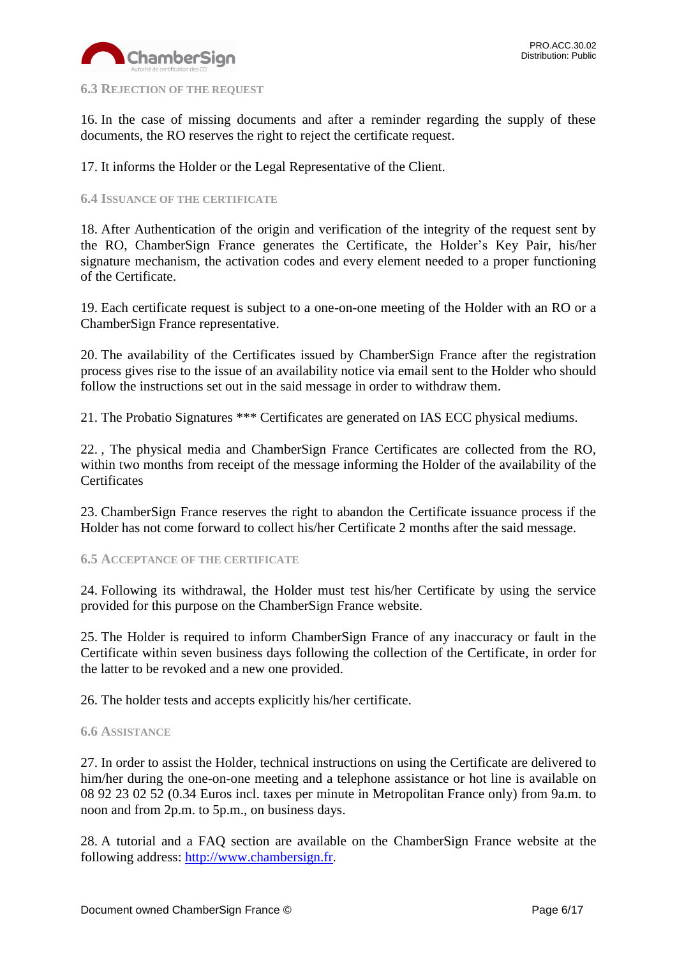

#### <span id="page-5-0"></span>**6.3 REJECTION OF THE REQUEST**

16. In the case of missing documents and after a reminder regarding the supply of these documents, the RO reserves the right to reject the certificate request.

17. It informs the Holder or the Legal Representative of the Client.

# <span id="page-5-1"></span>**6.4 ISSUANCE OF THE CERTIFICATE**

18. After Authentication of the origin and verification of the integrity of the request sent by the RO, ChamberSign France generates the Certificate, the Holder's Key Pair, his/her signature mechanism, the activation codes and every element needed to a proper functioning of the Certificate.

19. Each certificate request is subject to a one-on-one meeting of the Holder with an RO or a ChamberSign France representative.

20. The availability of the Certificates issued by ChamberSign France after the registration process gives rise to the issue of an availability notice via email sent to the Holder who should follow the instructions set out in the said message in order to withdraw them.

21. The Probatio Signatures \*\*\* Certificates are generated on IAS ECC physical mediums.

22. , The physical media and ChamberSign France Certificates are collected from the RO, within two months from receipt of the message informing the Holder of the availability of the **Certificates** 

23. ChamberSign France reserves the right to abandon the Certificate issuance process if the Holder has not come forward to collect his/her Certificate 2 months after the said message.

#### <span id="page-5-2"></span>**6.5 ACCEPTANCE OF THE CERTIFICATE**

24. Following its withdrawal, the Holder must test his/her Certificate by using the service provided for this purpose on the ChamberSign France website.

25. The Holder is required to inform ChamberSign France of any inaccuracy or fault in the Certificate within seven business days following the collection of the Certificate, in order for the latter to be revoked and a new one provided.

26. The holder tests and accepts explicitly his/her certificate.

#### <span id="page-5-3"></span>**6.6 ASSISTANCE**

27. In order to assist the Holder, technical instructions on using the Certificate are delivered to him/her during the one-on-one meeting and a telephone assistance or hot line is available on 08 92 23 02 52 (0.34 Euros incl. taxes per minute in Metropolitan France only) from 9a.m. to noon and from 2p.m. to 5p.m., on business days.

28. A tutorial and a FAQ section are available on the ChamberSign France website at the following address: [http://www.chambersign.fr.](http://www.chambersign.fr/)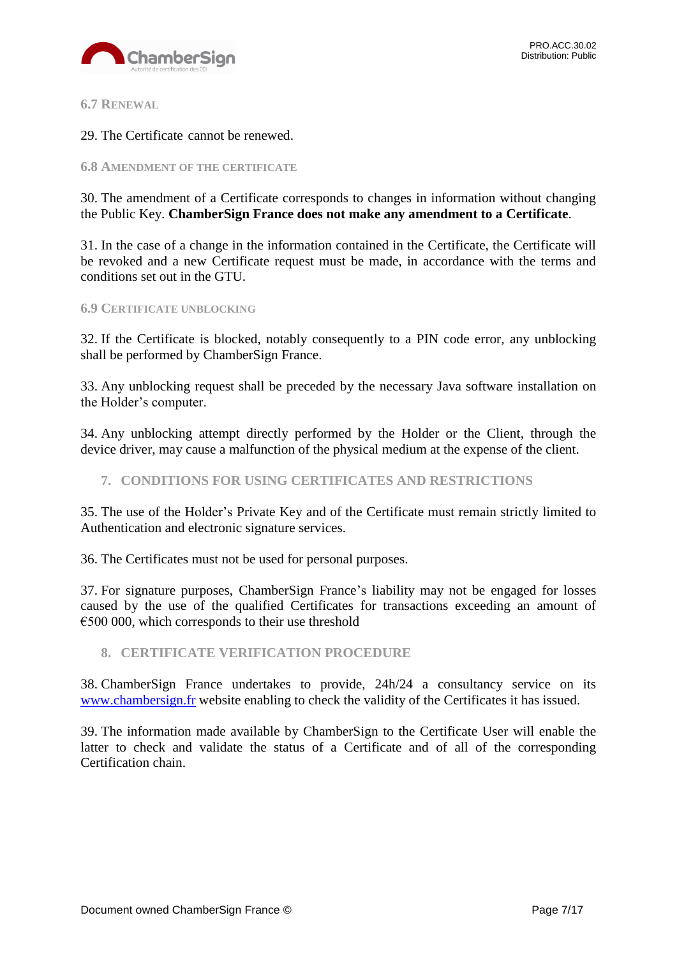

<span id="page-6-0"></span>**6.7 RENEWAL**

29. The Certificate cannot be renewed.

<span id="page-6-1"></span>**6.8 AMENDMENT OF THE CERTIFICATE**

30. The amendment of a Certificate corresponds to changes in information without changing the Public Key. **ChamberSign France does not make any amendment to a Certificate**.

31. In the case of a change in the information contained in the Certificate, the Certificate will be revoked and a new Certificate request must be made, in accordance with the terms and conditions set out in the GTU.

#### <span id="page-6-2"></span>**6.9 CERTIFICATE UNBLOCKING**

32. If the Certificate is blocked, notably consequently to a PIN code error, any unblocking shall be performed by ChamberSign France.

33. Any unblocking request shall be preceded by the necessary Java software installation on the Holder's computer.

34. Any unblocking attempt directly performed by the Holder or the Client, through the device driver, may cause a malfunction of the physical medium at the expense of the client.

<span id="page-6-3"></span>**7. CONDITIONS FOR USING CERTIFICATES AND RESTRICTIONS**

35. The use of the Holder's Private Key and of the Certificate must remain strictly limited to Authentication and electronic signature services.

36. The Certificates must not be used for personal purposes.

37. For signature purposes, ChamberSign France's liability may not be engaged for losses caused by the use of the qualified Certificates for transactions exceeding an amount of  $\epsilon$ 500 000, which corresponds to their use threshold

#### <span id="page-6-4"></span>**8. CERTIFICATE VERIFICATION PROCEDURE**

38. ChamberSign France undertakes to provide, 24h/24 a consultancy service on its [www.chambersign.fr](http://www.chambersign.fr/) website enabling to check the validity of the Certificates it has issued.

39. The information made available by ChamberSign to the Certificate User will enable the latter to check and validate the status of a Certificate and of all of the corresponding Certification chain.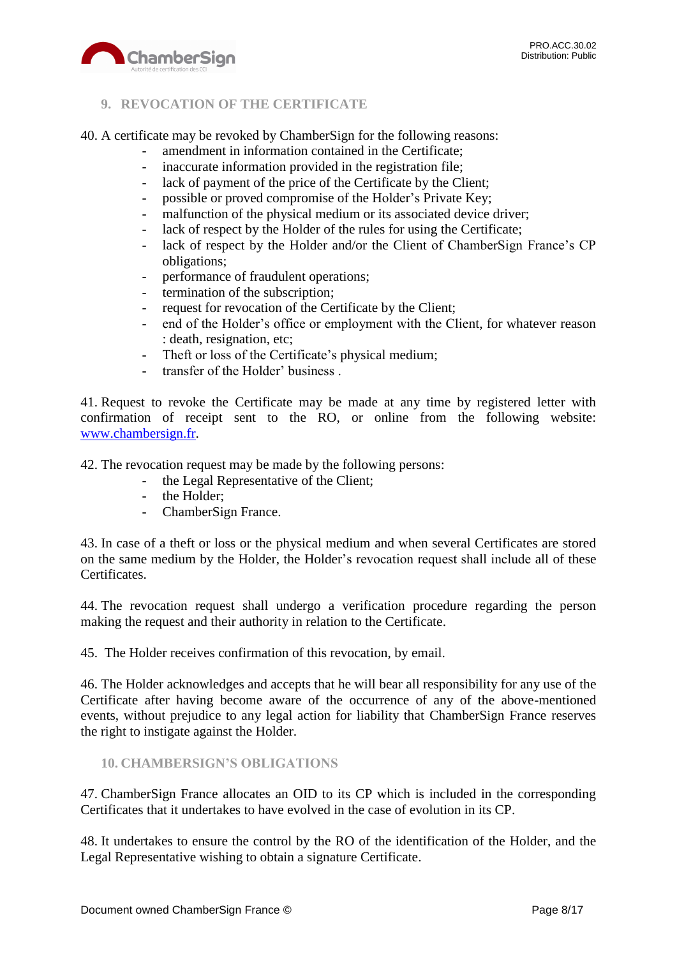

# <span id="page-7-0"></span>**9. REVOCATION OF THE CERTIFICATE**

40. A certificate may be revoked by ChamberSign for the following reasons:

- amendment in information contained in the Certificate;
- inaccurate information provided in the registration file;
- lack of payment of the price of the Certificate by the Client;
- possible or proved compromise of the Holder's Private Key;
- malfunction of the physical medium or its associated device driver;
- lack of respect by the Holder of the rules for using the Certificate;
- lack of respect by the Holder and/or the Client of ChamberSign France's CP obligations;
- performance of fraudulent operations;
- termination of the subscription;
- request for revocation of the Certificate by the Client;
- end of the Holder's office or employment with the Client, for whatever reason : death, resignation, etc;
- Theft or loss of the Certificate's physical medium;
- transfer of the Holder' business .

41. Request to revoke the Certificate may be made at any time by registered letter with confirmation of receipt sent to the RO, or online from the following website: [www.chambersign.fr.](http://www.chambersign.fr/)

42. The revocation request may be made by the following persons:

- the Legal Representative of the Client;
- the Holder;
- ChamberSign France.

43. In case of a theft or loss or the physical medium and when several Certificates are stored on the same medium by the Holder, the Holder's revocation request shall include all of these Certificates.

44. The revocation request shall undergo a verification procedure regarding the person making the request and their authority in relation to the Certificate.

45. The Holder receives confirmation of this revocation, by email.

46. The Holder acknowledges and accepts that he will bear all responsibility for any use of the Certificate after having become aware of the occurrence of any of the above-mentioned events, without prejudice to any legal action for liability that ChamberSign France reserves the right to instigate against the Holder.

#### <span id="page-7-1"></span>**10. CHAMBERSIGN'S OBLIGATIONS**

47. ChamberSign France allocates an OID to its CP which is included in the corresponding Certificates that it undertakes to have evolved in the case of evolution in its CP.

48. It undertakes to ensure the control by the RO of the identification of the Holder, and the Legal Representative wishing to obtain a signature Certificate.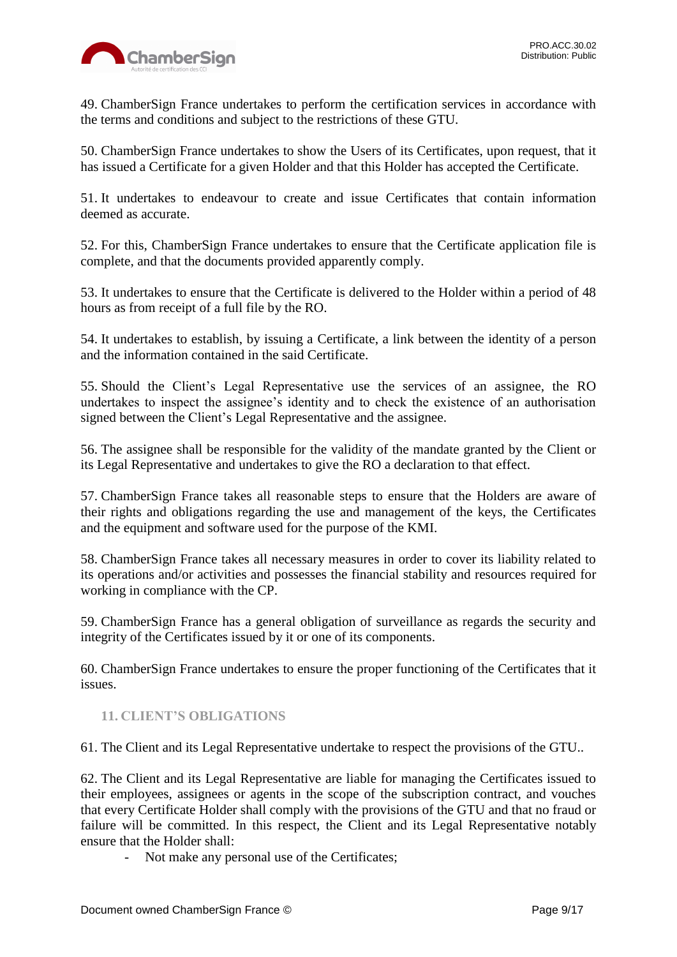49. ChamberSign France undertakes to perform the certification services in accordance with the terms and conditions and subject to the restrictions of these GTU.

50. ChamberSign France undertakes to show the Users of its Certificates, upon request, that it has issued a Certificate for a given Holder and that this Holder has accepted the Certificate.

51. It undertakes to endeavour to create and issue Certificates that contain information deemed as accurate.

52. For this, ChamberSign France undertakes to ensure that the Certificate application file is complete, and that the documents provided apparently comply.

53. It undertakes to ensure that the Certificate is delivered to the Holder within a period of 48 hours as from receipt of a full file by the RO.

54. It undertakes to establish, by issuing a Certificate, a link between the identity of a person and the information contained in the said Certificate.

55. Should the Client's Legal Representative use the services of an assignee, the RO undertakes to inspect the assignee's identity and to check the existence of an authorisation signed between the Client's Legal Representative and the assignee.

56. The assignee shall be responsible for the validity of the mandate granted by the Client or its Legal Representative and undertakes to give the RO a declaration to that effect.

57. ChamberSign France takes all reasonable steps to ensure that the Holders are aware of their rights and obligations regarding the use and management of the keys, the Certificates and the equipment and software used for the purpose of the KMI.

58. ChamberSign France takes all necessary measures in order to cover its liability related to its operations and/or activities and possesses the financial stability and resources required for working in compliance with the CP.

59. ChamberSign France has a general obligation of surveillance as regards the security and integrity of the Certificates issued by it or one of its components.

60. ChamberSign France undertakes to ensure the proper functioning of the Certificates that it issues.

# <span id="page-8-0"></span>**11. CLIENT'S OBLIGATIONS**

61. The Client and its Legal Representative undertake to respect the provisions of the GTU..

62. The Client and its Legal Representative are liable for managing the Certificates issued to their employees, assignees or agents in the scope of the subscription contract, and vouches that every Certificate Holder shall comply with the provisions of the GTU and that no fraud or failure will be committed. In this respect, the Client and its Legal Representative notably ensure that the Holder shall:

- Not make any personal use of the Certificates;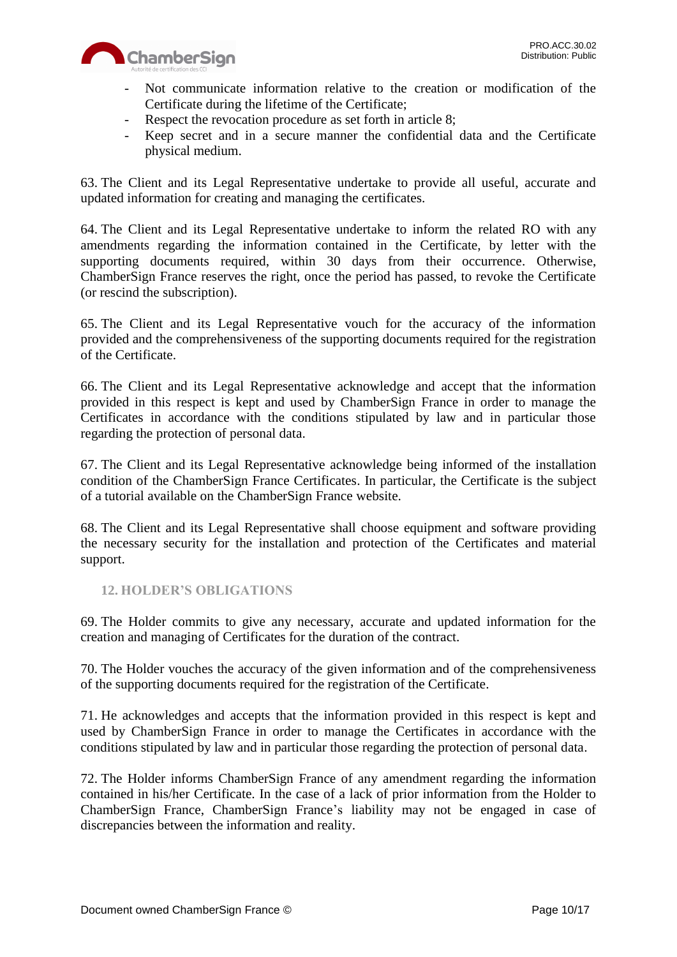

- Not communicate information relative to the creation or modification of the Certificate during the lifetime of the Certificate;
- Respect the revocation procedure as set forth in article 8;
- Keep secret and in a secure manner the confidential data and the Certificate physical medium.

63. The Client and its Legal Representative undertake to provide all useful, accurate and updated information for creating and managing the certificates.

64. The Client and its Legal Representative undertake to inform the related RO with any amendments regarding the information contained in the Certificate, by letter with the supporting documents required, within 30 days from their occurrence. Otherwise, ChamberSign France reserves the right, once the period has passed, to revoke the Certificate (or rescind the subscription).

65. The Client and its Legal Representative vouch for the accuracy of the information provided and the comprehensiveness of the supporting documents required for the registration of the Certificate.

66. The Client and its Legal Representative acknowledge and accept that the information provided in this respect is kept and used by ChamberSign France in order to manage the Certificates in accordance with the conditions stipulated by law and in particular those regarding the protection of personal data.

67. The Client and its Legal Representative acknowledge being informed of the installation condition of the ChamberSign France Certificates. In particular, the Certificate is the subject of a tutorial available on the ChamberSign France website.

68. The Client and its Legal Representative shall choose equipment and software providing the necessary security for the installation and protection of the Certificates and material support.

# <span id="page-9-0"></span>**12. HOLDER'S OBLIGATIONS**

69. The Holder commits to give any necessary, accurate and updated information for the creation and managing of Certificates for the duration of the contract.

70. The Holder vouches the accuracy of the given information and of the comprehensiveness of the supporting documents required for the registration of the Certificate.

71. He acknowledges and accepts that the information provided in this respect is kept and used by ChamberSign France in order to manage the Certificates in accordance with the conditions stipulated by law and in particular those regarding the protection of personal data.

72. The Holder informs ChamberSign France of any amendment regarding the information contained in his/her Certificate. In the case of a lack of prior information from the Holder to ChamberSign France, ChamberSign France's liability may not be engaged in case of discrepancies between the information and reality.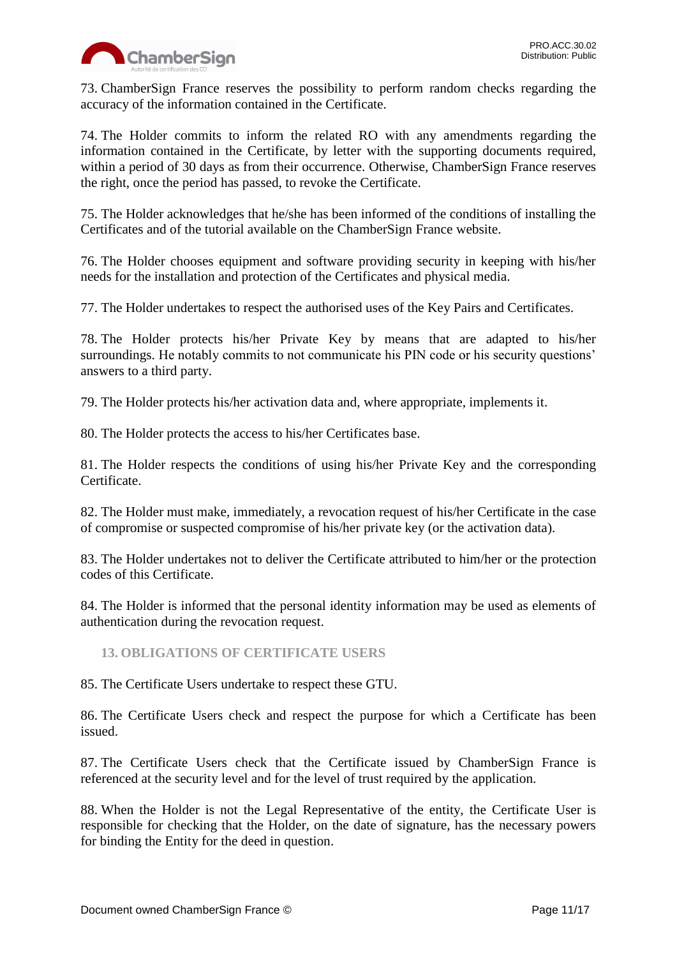

73. ChamberSign France reserves the possibility to perform random checks regarding the accuracy of the information contained in the Certificate.

74. The Holder commits to inform the related RO with any amendments regarding the information contained in the Certificate, by letter with the supporting documents required, within a period of 30 days as from their occurrence. Otherwise, ChamberSign France reserves the right, once the period has passed, to revoke the Certificate.

75. The Holder acknowledges that he/she has been informed of the conditions of installing the Certificates and of the tutorial available on the ChamberSign France website.

76. The Holder chooses equipment and software providing security in keeping with his/her needs for the installation and protection of the Certificates and physical media.

77. The Holder undertakes to respect the authorised uses of the Key Pairs and Certificates.

78. The Holder protects his/her Private Key by means that are adapted to his/her surroundings. He notably commits to not communicate his PIN code or his security questions' answers to a third party.

79. The Holder protects his/her activation data and, where appropriate, implements it.

80. The Holder protects the access to his/her Certificates base.

81. The Holder respects the conditions of using his/her Private Key and the corresponding Certificate.

82. The Holder must make, immediately, a revocation request of his/her Certificate in the case of compromise or suspected compromise of his/her private key (or the activation data).

83. The Holder undertakes not to deliver the Certificate attributed to him/her or the protection codes of this Certificate.

84. The Holder is informed that the personal identity information may be used as elements of authentication during the revocation request.

#### <span id="page-10-0"></span>**13. OBLIGATIONS OF CERTIFICATE USERS**

85. The Certificate Users undertake to respect these GTU.

86. The Certificate Users check and respect the purpose for which a Certificate has been issued.

87. The Certificate Users check that the Certificate issued by ChamberSign France is referenced at the security level and for the level of trust required by the application.

88. When the Holder is not the Legal Representative of the entity, the Certificate User is responsible for checking that the Holder, on the date of signature, has the necessary powers for binding the Entity for the deed in question.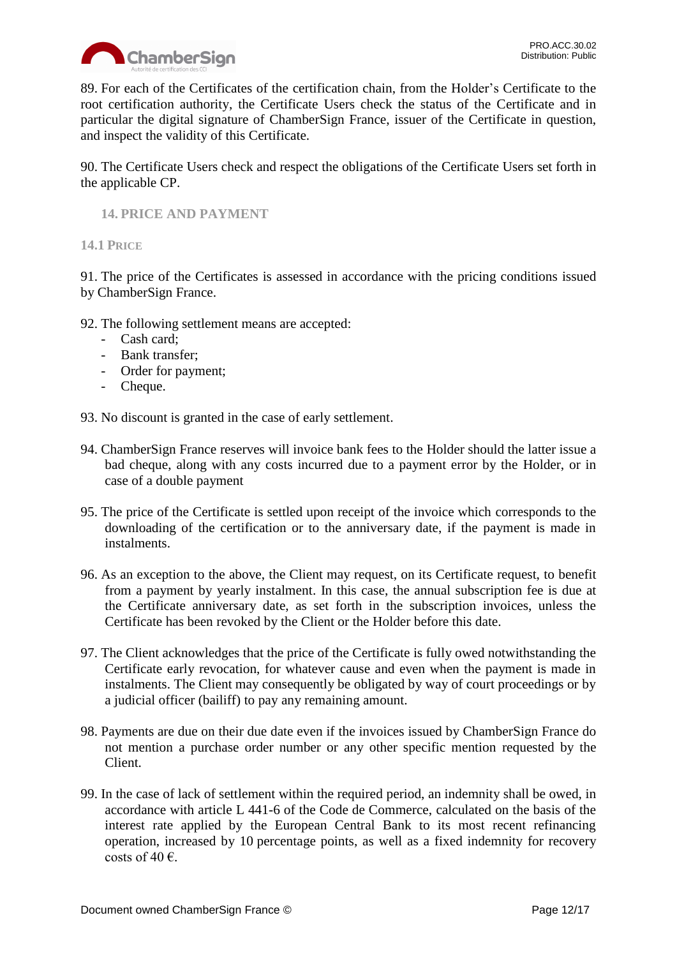

89. For each of the Certificates of the certification chain, from the Holder's Certificate to the root certification authority, the Certificate Users check the status of the Certificate and in particular the digital signature of ChamberSign France, issuer of the Certificate in question, and inspect the validity of this Certificate.

90. The Certificate Users check and respect the obligations of the Certificate Users set forth in the applicable CP.

# <span id="page-11-0"></span>**14. PRICE AND PAYMENT**

#### <span id="page-11-1"></span>**14.1 PRICE**

91. The price of the Certificates is assessed in accordance with the pricing conditions issued by ChamberSign France.

- 92. The following settlement means are accepted:
	- Cash card;
	- Bank transfer;
	- Order for payment;
	- Cheque.

93. No discount is granted in the case of early settlement.

- 94. ChamberSign France reserves will invoice bank fees to the Holder should the latter issue a bad cheque, along with any costs incurred due to a payment error by the Holder, or in case of a double payment
- 95. The price of the Certificate is settled upon receipt of the invoice which corresponds to the downloading of the certification or to the anniversary date, if the payment is made in instalments.
- 96. As an exception to the above, the Client may request, on its Certificate request, to benefit from a payment by yearly instalment. In this case, the annual subscription fee is due at the Certificate anniversary date, as set forth in the subscription invoices, unless the Certificate has been revoked by the Client or the Holder before this date.
- 97. The Client acknowledges that the price of the Certificate is fully owed notwithstanding the Certificate early revocation, for whatever cause and even when the payment is made in instalments. The Client may consequently be obligated by way of court proceedings or by a judicial officer (bailiff) to pay any remaining amount.
- 98. Payments are due on their due date even if the invoices issued by ChamberSign France do not mention a purchase order number or any other specific mention requested by the Client.
- 99. In the case of lack of settlement within the required period, an indemnity shall be owed, in accordance with article L 441-6 of the Code de Commerce, calculated on the basis of the interest rate applied by the European Central Bank to its most recent refinancing operation, increased by 10 percentage points, as well as a fixed indemnity for recovery costs of 40 $\epsilon$ .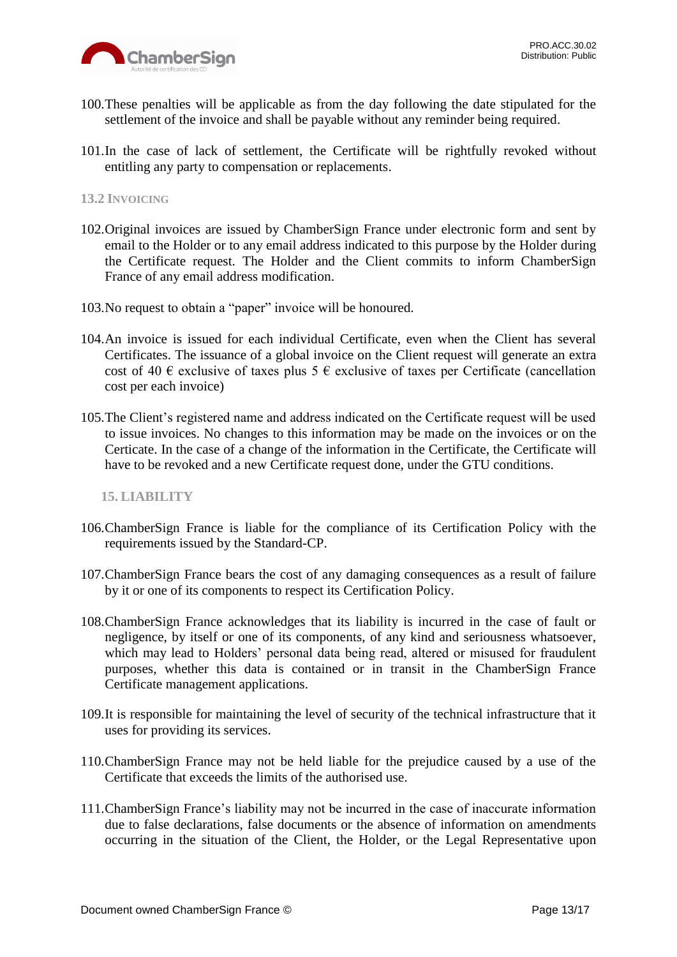

- 100.These penalties will be applicable as from the day following the date stipulated for the settlement of the invoice and shall be payable without any reminder being required.
- 101.In the case of lack of settlement, the Certificate will be rightfully revoked without entitling any party to compensation or replacements.

#### <span id="page-12-0"></span>**13.2 INVOICING**

- 102.Original invoices are issued by ChamberSign France under electronic form and sent by email to the Holder or to any email address indicated to this purpose by the Holder during the Certificate request. The Holder and the Client commits to inform ChamberSign France of any email address modification.
- 103.No request to obtain a "paper" invoice will be honoured.
- 104.An invoice is issued for each individual Certificate, even when the Client has several Certificates. The issuance of a global invoice on the Client request will generate an extra cost of 40  $\epsilon$  exclusive of taxes plus 5  $\epsilon$  exclusive of taxes per Certificate (cancellation cost per each invoice)
- 105.The Client's registered name and address indicated on the Certificate request will be used to issue invoices. No changes to this information may be made on the invoices or on the Certicate. In the case of a change of the information in the Certificate, the Certificate will have to be revoked and a new Certificate request done, under the GTU conditions.

<span id="page-12-1"></span>**15. LIABILITY**

- 106.ChamberSign France is liable for the compliance of its Certification Policy with the requirements issued by the Standard-CP.
- 107.ChamberSign France bears the cost of any damaging consequences as a result of failure by it or one of its components to respect its Certification Policy.
- 108.ChamberSign France acknowledges that its liability is incurred in the case of fault or negligence, by itself or one of its components, of any kind and seriousness whatsoever, which may lead to Holders' personal data being read, altered or misused for fraudulent purposes, whether this data is contained or in transit in the ChamberSign France Certificate management applications.
- 109.It is responsible for maintaining the level of security of the technical infrastructure that it uses for providing its services.
- 110.ChamberSign France may not be held liable for the prejudice caused by a use of the Certificate that exceeds the limits of the authorised use.
- 111.ChamberSign France's liability may not be incurred in the case of inaccurate information due to false declarations, false documents or the absence of information on amendments occurring in the situation of the Client, the Holder, or the Legal Representative upon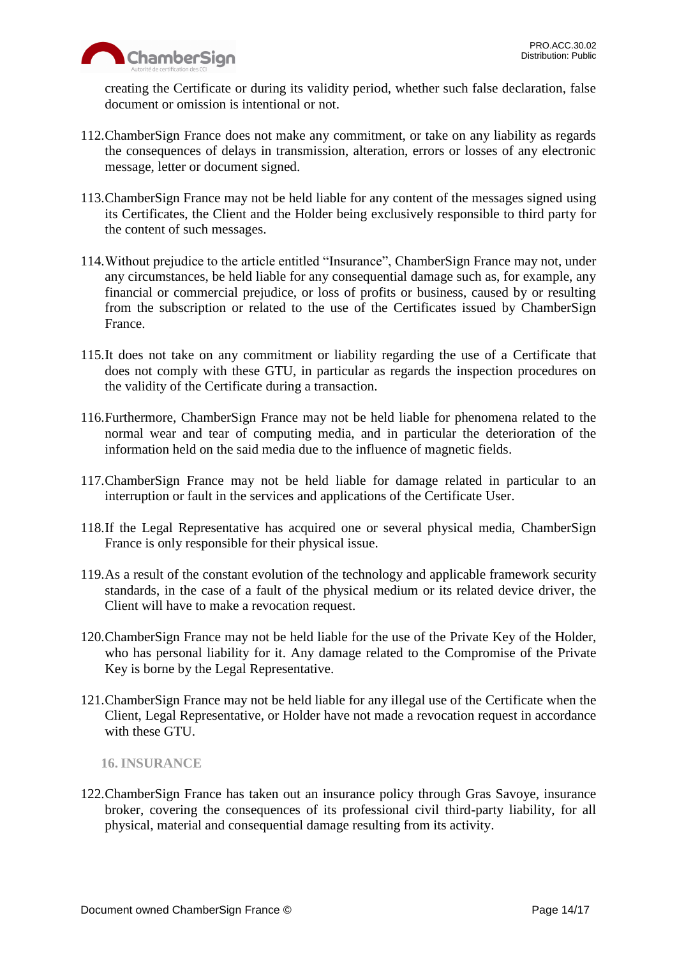

creating the Certificate or during its validity period, whether such false declaration, false document or omission is intentional or not.

- 112.ChamberSign France does not make any commitment, or take on any liability as regards the consequences of delays in transmission, alteration, errors or losses of any electronic message, letter or document signed.
- 113.ChamberSign France may not be held liable for any content of the messages signed using its Certificates, the Client and the Holder being exclusively responsible to third party for the content of such messages.
- 114.Without prejudice to the article entitled "Insurance", ChamberSign France may not, under any circumstances, be held liable for any consequential damage such as, for example, any financial or commercial prejudice, or loss of profits or business, caused by or resulting from the subscription or related to the use of the Certificates issued by ChamberSign France.
- 115.It does not take on any commitment or liability regarding the use of a Certificate that does not comply with these GTU, in particular as regards the inspection procedures on the validity of the Certificate during a transaction.
- 116.Furthermore, ChamberSign France may not be held liable for phenomena related to the normal wear and tear of computing media, and in particular the deterioration of the information held on the said media due to the influence of magnetic fields.
- 117.ChamberSign France may not be held liable for damage related in particular to an interruption or fault in the services and applications of the Certificate User.
- 118.If the Legal Representative has acquired one or several physical media, ChamberSign France is only responsible for their physical issue.
- 119.As a result of the constant evolution of the technology and applicable framework security standards, in the case of a fault of the physical medium or its related device driver, the Client will have to make a revocation request.
- 120.ChamberSign France may not be held liable for the use of the Private Key of the Holder, who has personal liability for it. Any damage related to the Compromise of the Private Key is borne by the Legal Representative.
- 121.ChamberSign France may not be held liable for any illegal use of the Certificate when the Client, Legal Representative, or Holder have not made a revocation request in accordance with these GTU.

<span id="page-13-0"></span>**16. INSURANCE**

122.ChamberSign France has taken out an insurance policy through Gras Savoye, insurance broker, covering the consequences of its professional civil third-party liability, for all physical, material and consequential damage resulting from its activity.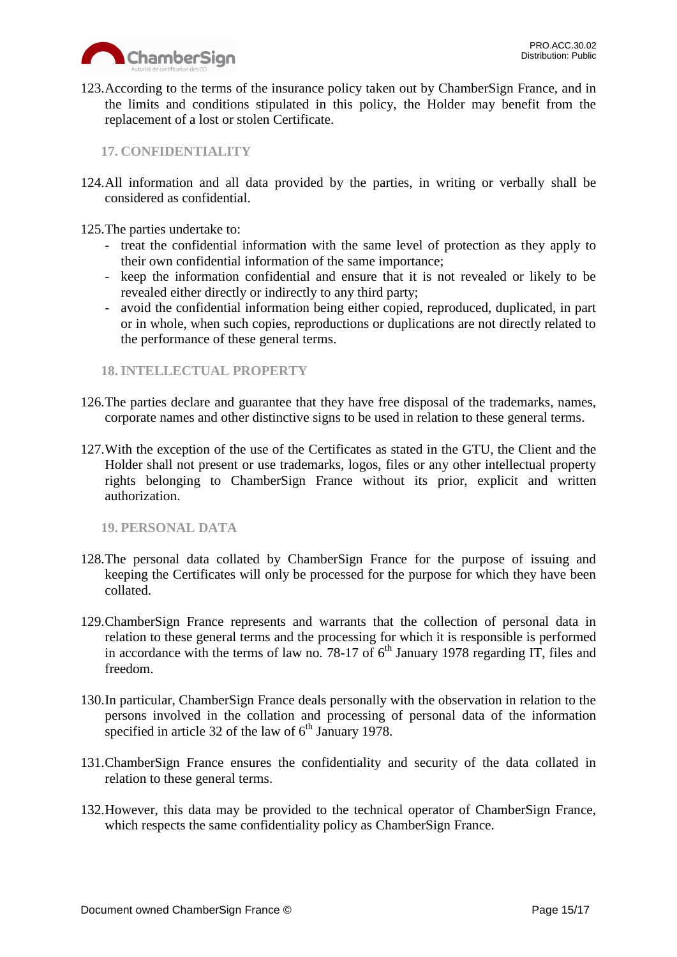

123.According to the terms of the insurance policy taken out by ChamberSign France, and in the limits and conditions stipulated in this policy, the Holder may benefit from the replacement of a lost or stolen Certificate.

<span id="page-14-0"></span>**17. CONFIDENTIALITY**

124.All information and all data provided by the parties, in writing or verbally shall be considered as confidential.

125.The parties undertake to:

- treat the confidential information with the same level of protection as they apply to their own confidential information of the same importance;
- keep the information confidential and ensure that it is not revealed or likely to be revealed either directly or indirectly to any third party;
- avoid the confidential information being either copied, reproduced, duplicated, in part or in whole, when such copies, reproductions or duplications are not directly related to the performance of these general terms.

# <span id="page-14-1"></span>**18. INTELLECTUAL PROPERTY**

- 126.The parties declare and guarantee that they have free disposal of the trademarks, names, corporate names and other distinctive signs to be used in relation to these general terms.
- 127.With the exception of the use of the Certificates as stated in the GTU, the Client and the Holder shall not present or use trademarks, logos, files or any other intellectual property rights belonging to ChamberSign France without its prior, explicit and written authorization.

<span id="page-14-2"></span>**19. PERSONAL DATA**

- 128.The personal data collated by ChamberSign France for the purpose of issuing and keeping the Certificates will only be processed for the purpose for which they have been collated.
- 129.ChamberSign France represents and warrants that the collection of personal data in relation to these general terms and the processing for which it is responsible is performed in accordance with the terms of law no. 78-17 of  $6<sup>th</sup>$  January 1978 regarding IT, files and freedom.
- 130.In particular, ChamberSign France deals personally with the observation in relation to the persons involved in the collation and processing of personal data of the information specified in article 32 of the law of  $6<sup>th</sup>$  January 1978.
- 131.ChamberSign France ensures the confidentiality and security of the data collated in relation to these general terms.
- 132.However, this data may be provided to the technical operator of ChamberSign France, which respects the same confidentiality policy as ChamberSign France.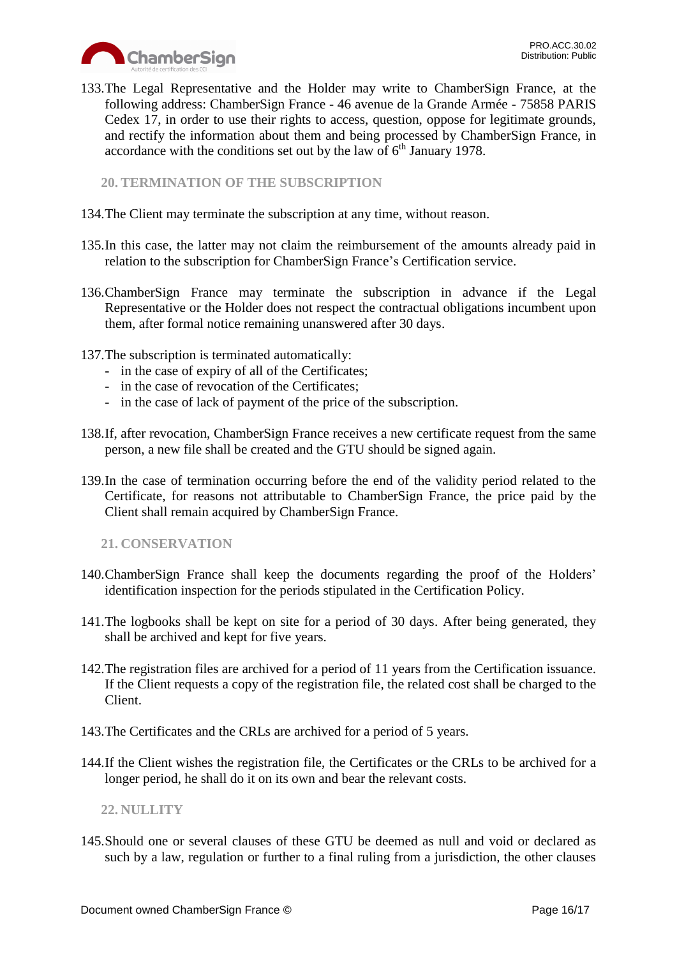

133.The Legal Representative and the Holder may write to ChamberSign France, at the following address: ChamberSign France - 46 avenue de la Grande Armée - 75858 PARIS Cedex 17, in order to use their rights to access, question, oppose for legitimate grounds, and rectify the information about them and being processed by ChamberSign France, in accordance with the conditions set out by the law of  $6<sup>th</sup>$  January 1978.

<span id="page-15-0"></span>**20. TERMINATION OF THE SUBSCRIPTION**

- 134.The Client may terminate the subscription at any time, without reason.
- 135.In this case, the latter may not claim the reimbursement of the amounts already paid in relation to the subscription for ChamberSign France's Certification service.
- 136.ChamberSign France may terminate the subscription in advance if the Legal Representative or the Holder does not respect the contractual obligations incumbent upon them, after formal notice remaining unanswered after 30 days.
- 137.The subscription is terminated automatically:
	- in the case of expiry of all of the Certificates;
	- in the case of revocation of the Certificates;
	- in the case of lack of payment of the price of the subscription.
- 138.If, after revocation, ChamberSign France receives a new certificate request from the same person, a new file shall be created and the GTU should be signed again.
- 139.In the case of termination occurring before the end of the validity period related to the Certificate, for reasons not attributable to ChamberSign France, the price paid by the Client shall remain acquired by ChamberSign France.

<span id="page-15-1"></span>**21. CONSERVATION**

- 140.ChamberSign France shall keep the documents regarding the proof of the Holders' identification inspection for the periods stipulated in the Certification Policy.
- 141.The logbooks shall be kept on site for a period of 30 days. After being generated, they shall be archived and kept for five years.
- 142.The registration files are archived for a period of 11 years from the Certification issuance. If the Client requests a copy of the registration file, the related cost shall be charged to the Client.
- 143.The Certificates and the CRLs are archived for a period of 5 years.
- 144.If the Client wishes the registration file, the Certificates or the CRLs to be archived for a longer period, he shall do it on its own and bear the relevant costs.

<span id="page-15-2"></span>**22. NULLITY**

145.Should one or several clauses of these GTU be deemed as null and void or declared as such by a law, regulation or further to a final ruling from a jurisdiction, the other clauses